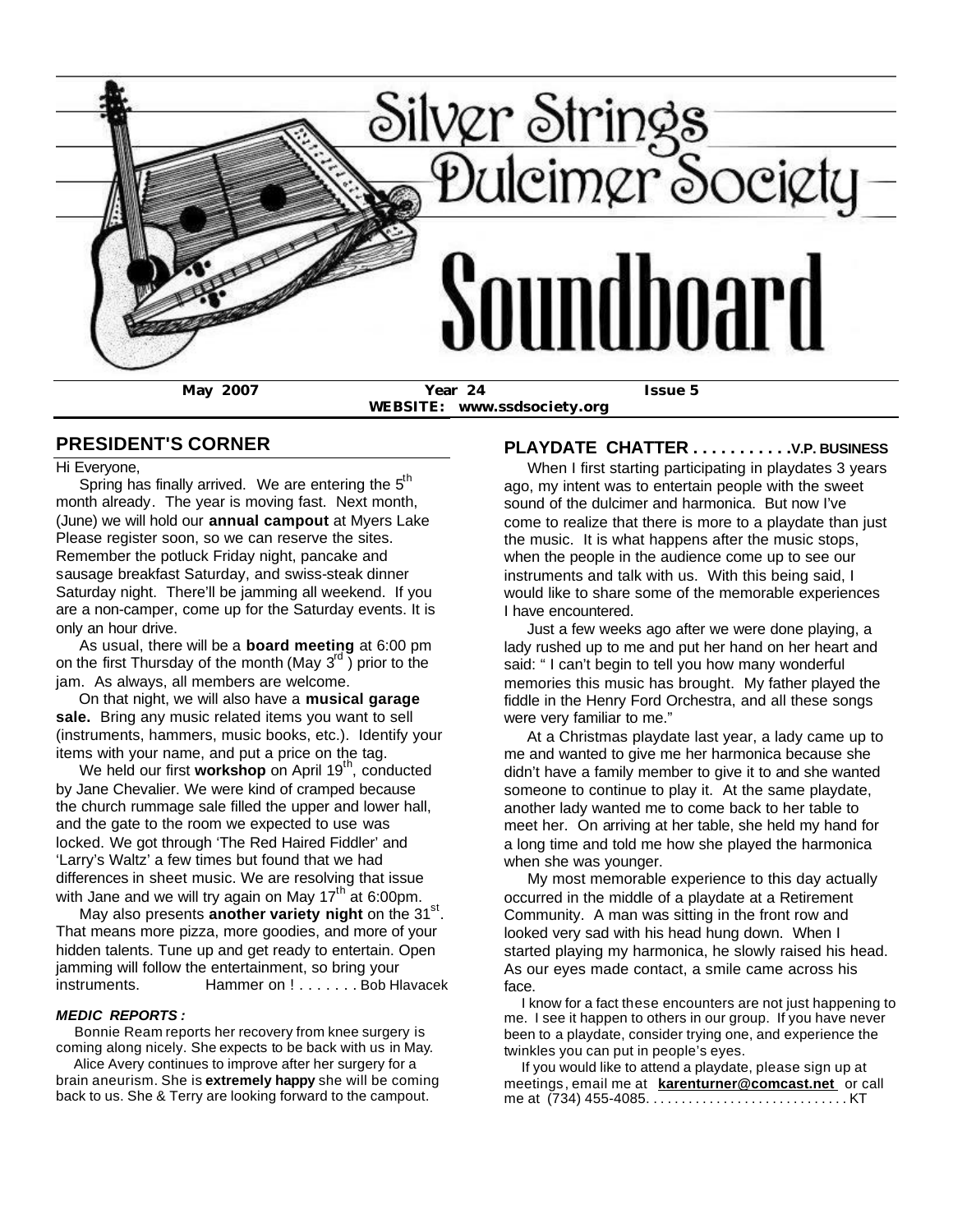

**WEBSITE: www.ssdsociety.org**

# **PRESIDENT'S CORNER**

Hi Everyone,

Spring has finally arrived. We are entering the  $5<sup>th</sup>$ month already. The year is moving fast. Next month, (June) we will hold our **annual campout** at Myers Lake Please register soon, so we can reserve the sites. Remember the potluck Friday night, pancake and sausage breakfast Saturday, and swiss-steak dinner Saturday night. There'll be jamming all weekend. If you are a non-camper, come up for the Saturday events. It is only an hour drive.

 As usual, there will be a **board meeting** at 6:00 pm on the first Thursday of the month (May  $3^{rd}$ ) prior to the jam. As always, all members are welcome.

 On that night, we will also have a **musical garage sale.** Bring any music related items you want to sell (instruments, hammers, music books, etc.). Identify your items with your name, and put a price on the tag.

We held our first workshop on April 19<sup>th</sup>, conducted by Jane Chevalier. We were kind of cramped because the church rummage sale filled the upper and lower hall, and the gate to the room we expected to use was locked. We got through 'The Red Haired Fiddler' and 'Larry's Waltz' a few times but found that we had differences in sheet music. We are resolving that issue with Jane and we will try again on May  $17<sup>th</sup>$  at 6:00pm.

May also presents **another variety night** on the 31<sup>st</sup>. That means more pizza, more goodies, and more of your hidden talents. Tune up and get ready to entertain. Open jamming will follow the entertainment, so bring your instruments. Hammer on ! . . . . . . . Bob Hlavacek

#### *MEDIC REPORTS :*

 Bonnie Ream reports her recovery from knee surgery is coming along nicely. She expects to be back with us in May.

 Alice Avery continues to improve after her surgery for a brain aneurism. She is **extremely happy** she will be coming back to us. She & Terry are looking forward to the campout.

# **PLAYDATE CHATTER . . . . . . . . . . .V.P. BUSINESS**

 When I first starting participating in playdates 3 years ago, my intent was to entertain people with the sweet sound of the dulcimer and harmonica. But now I've come to realize that there is more to a playdate than just the music. It is what happens after the music stops, when the people in the audience come up to see our instruments and talk with us. With this being said, I would like to share some of the memorable experiences I have encountered.

 Just a few weeks ago after we were done playing, a lady rushed up to me and put her hand on her heart and said: " I can't begin to tell you how many wonderful memories this music has brought. My father played the fiddle in the Henry Ford Orchestra, and all these songs were very familiar to me."

 At a Christmas playdate last year, a lady came up to me and wanted to give me her harmonica because she didn't have a family member to give it to and she wanted someone to continue to play it. At the same playdate, another lady wanted me to come back to her table to meet her. On arriving at her table, she held my hand for a long time and told me how she played the harmonica when she was younger.

 My most memorable experience to this day actually occurred in the middle of a playdate at a Retirement Community. A man was sitting in the front row and looked very sad with his head hung down. When I started playing my harmonica, he slowly raised his head. As our eyes made contact, a smile came across his face.

 I know for a fact these encounters are not just happening to me. I see it happen to others in our group. If you have never been to a playdate, consider trying one, and experience the twinkles you can put in people's eyes.

 If you would like to attend a playdate, please sign up at meetings, email me at **karenturner@comcast.net** or call me at (734) 455-4085. . . . . . . . . . . . . . . . . . . . . . . . . . . . . KT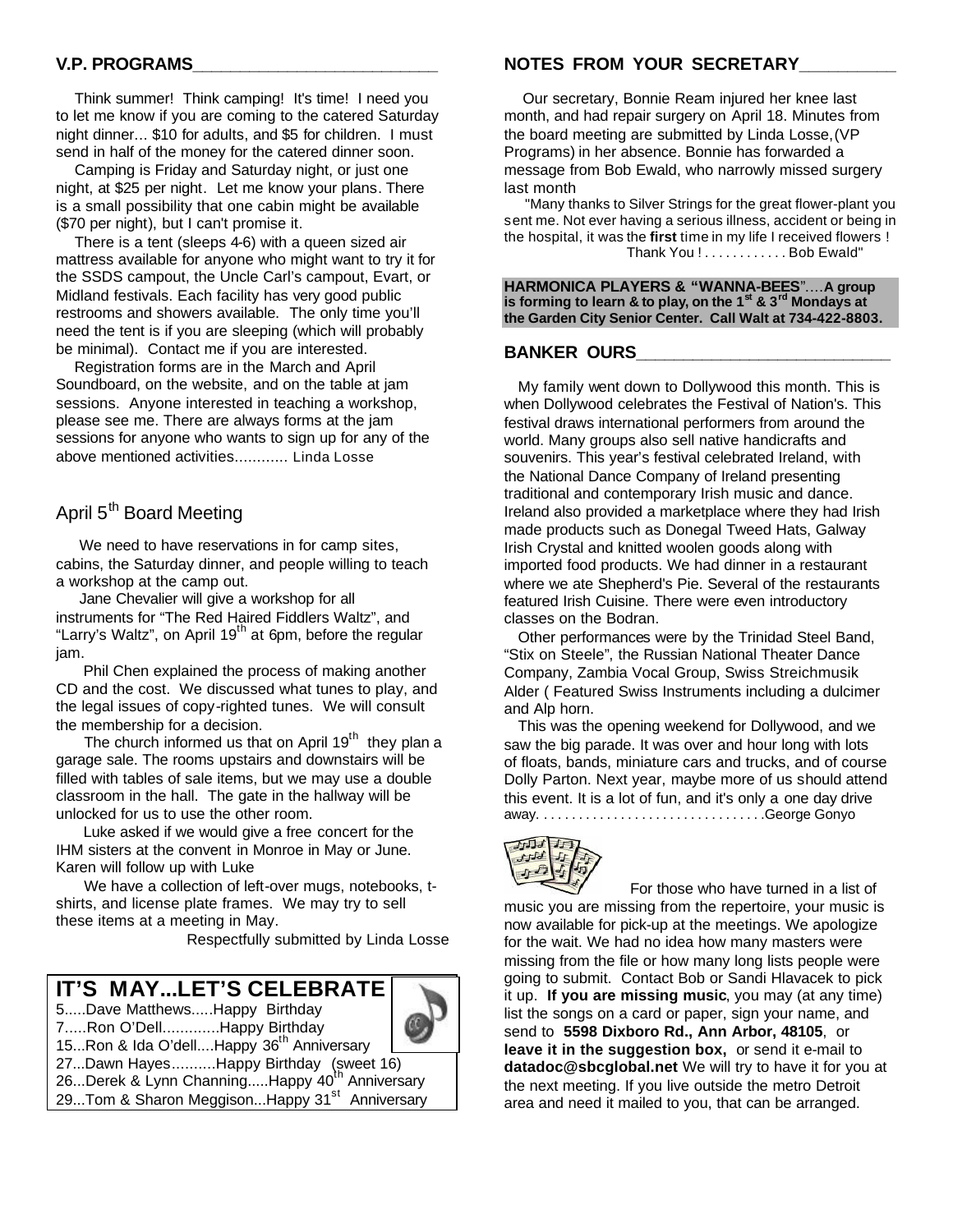# **V.P. PROGRAMS\_\_\_\_\_\_\_\_\_\_\_\_\_\_\_\_\_\_\_\_\_\_\_\_\_\_**

 Think summer! Think camping! It's time! I need you to let me know if you are coming to the catered Saturday night dinner... \$10 for adults, and \$5 for children. I must send in half of the money for the catered dinner soon.

 Camping is Friday and Saturday night, or just one night, at \$25 per night. Let me know your plans. There is a small possibility that one cabin might be available (\$70 per night), but I can't promise it.

 There is a tent (sleeps 4-6) with a queen sized air mattress available for anyone who might want to try it for the SSDS campout, the Uncle Carl's campout, Evart, or Midland festivals. Each facility has very good public restrooms and showers available. The only time you'll need the tent is if you are sleeping (which will probably be minimal). Contact me if you are interested.

 Registration forms are in the March and April Soundboard, on the website, and on the table at jam sessions. Anyone interested in teaching a workshop, please see me. There are always forms at the jam sessions for anyone who wants to sign up for any of the above mentioned activities............ Linda Losse

# April 5<sup>th</sup> Board Meeting

 We need to have reservations in for camp sites, cabins, the Saturday dinner, and people willing to teach a workshop at the camp out.

 Jane Chevalier will give a workshop for all instruments for "The Red Haired Fiddlers Waltz", and "Larry's Waltz", on April  $19<sup>th</sup>$  at 6pm, before the regular jam.

 Phil Chen explained the process of making another CD and the cost. We discussed what tunes to play, and the legal issues of copy-righted tunes. We will consult the membership for a decision.

The church informed us that on April  $19<sup>th</sup>$  they plan a garage sale. The rooms upstairs and downstairs will be filled with tables of sale items, but we may use a double classroom in the hall. The gate in the hallway will be unlocked for us to use the other room.

 Luke asked if we would give a free concert for the IHM sisters at the convent in Monroe in May or June. Karen will follow up with Luke

 We have a collection of left-over mugs, notebooks, tshirts, and license plate frames. We may try to sell these items at a meeting in May.

Respectfully submitted by Linda Losse

# **IT'S MAY...LET'S CELEBRATE !**

5.....Dave Matthews.....Happy Birthday 7.....Ron O'Dell.............Happy Birthday

15...Ron & Ida O'dell....Happy 36<sup>th</sup> Anniversary

27...Dawn Hayes..........Happy Birthday (sweet 16)

26...Derek & Lynn Channing.....Happy 40<sup>th</sup> Anniversary

29...Tom & Sharon Meggison...Happy 31<sup>st</sup> Anniversary

#### **NOTES FROM YOUR SECRETARY\_\_\_\_\_\_\_\_\_\_**

 Our secretary, Bonnie Ream injured her knee last month, and had repair surgery on April 18. Minutes from the board meeting are submitted by Linda Losse,(VP Programs) in her absence. Bonnie has forwarded a message from Bob Ewald, who narrowly missed surgery last month

 "Many thanks to Silver Strings for the great flower-plant you sent me. Not ever having a serious illness, accident or being in the hospital, it was the **first** time in my life I received flowers ! Thank You ! . . . . . . . . . . . . Bob Ewald"

**HARMONICA PLAYERS & "WANNA-BEES**"....**A group is forming to learn & to play, on the 1st & 3rd Mondays at the Garden City Senior Center. Call Walt at 734-422-8803.**

#### **BANKER OURS\_\_\_\_\_\_\_\_\_\_\_\_\_\_\_\_\_\_\_\_\_\_\_\_\_\_\_**

 My family went down to Dollywood this month. This is when Dollywood celebrates the Festival of Nation's. This festival draws international performers from around the world. Many groups also sell native handicrafts and souvenirs. This year's festival celebrated Ireland, with the National Dance Company of Ireland presenting traditional and contemporary Irish music and dance. Ireland also provided a marketplace where they had Irish made products such as Donegal Tweed Hats, Galway Irish Crystal and knitted woolen goods along with imported food products. We had dinner in a restaurant where we ate Shepherd's Pie. Several of the restaurants featured Irish Cuisine. There were even introductory classes on the Bodran.

 Other performances were by the Trinidad Steel Band, "Stix on Steele", the Russian National Theater Dance Company, Zambia Vocal Group, Swiss Streichmusik Alder ( Featured Swiss Instruments including a dulcimer and Alp horn.

 This was the opening weekend for Dollywood, and we saw the big parade. It was over and hour long with lots of floats, bands, miniature cars and trucks, and of course Dolly Parton. Next year, maybe more of us should attend this event. It is a lot of fun, and it's only a one day drive away. . . . . . . . . . . . . . . . . . . . . . . . . . . . . . . . .George Gonyo



 For those who have turned in a list of music you are missing from the repertoire, your music is now available for pick-up at the meetings. We apologize for the wait. We had no idea how many masters were missing from the file or how many long lists people were going to submit. Contact Bob or Sandi Hlavacek to pick it up. **If you are missing music**, you may (at any time) list the songs on a card or paper, sign your name, and send to **5598 Dixboro Rd., Ann Arbor, 48105**, or **leave it in the suggestion box,** or send it e-mail to **datadoc@sbcglobal.net** We will try to have it for you at the next meeting. If you live outside the metro Detroit area and need it mailed to you, that can be arranged.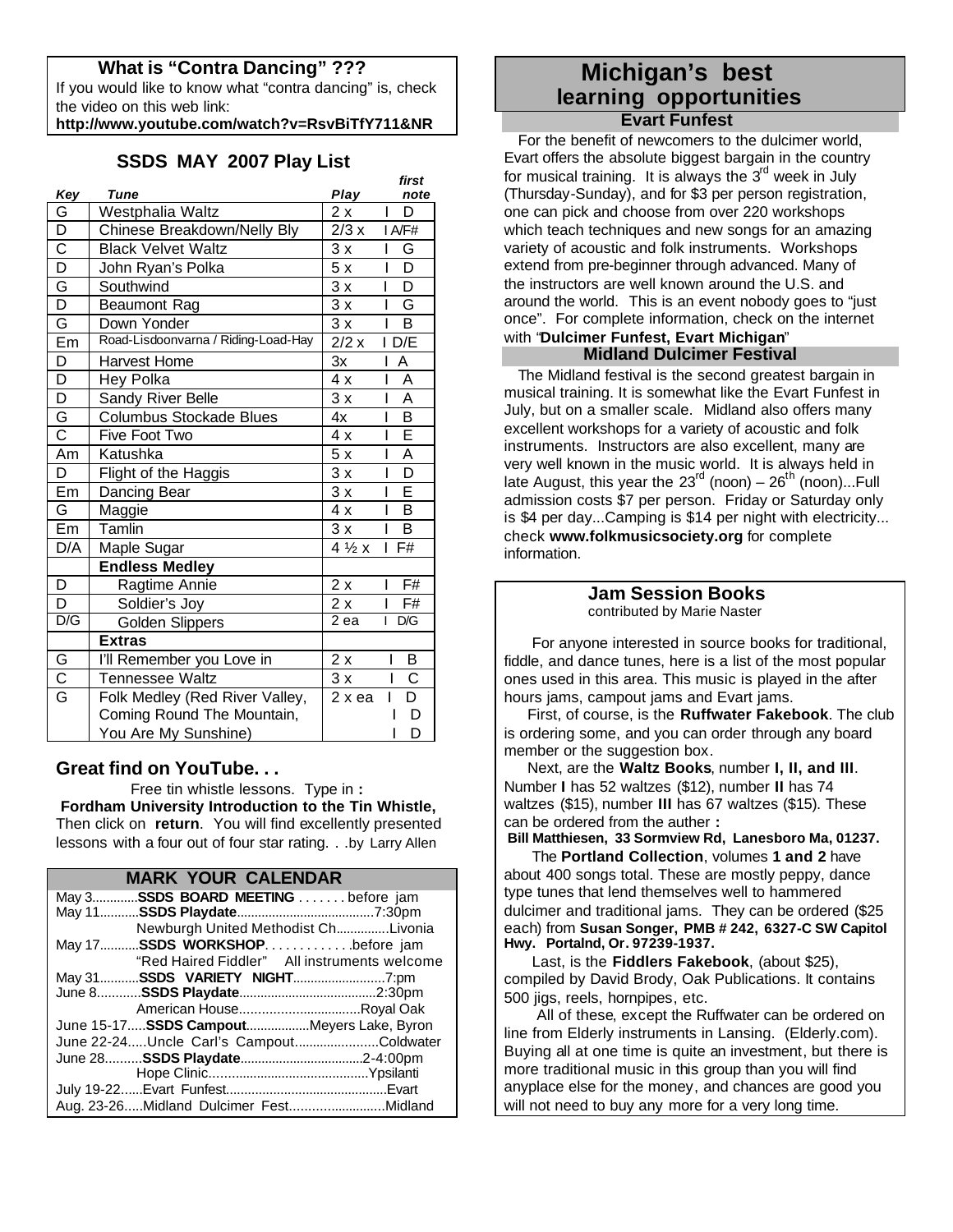# **What is "Contra Dancing" ???**

If you would like to know what "contra dancing" is, check the video on this web link:

**http://www.youtube.com/watch?v=RsvBiTfY711&NR**

# **SSDS MAY 2007 Play List**

|                         |                                     |                         | first                        |
|-------------------------|-------------------------------------|-------------------------|------------------------------|
| Key                     | Tune                                | Play                    | note                         |
| G                       | Westphalia Waltz                    | 2x                      | D<br>I                       |
| D                       | Chinese Breakdown/Nelly Bly         | 2/3 x                   | I A/F#                       |
| $\overline{\text{c}}$   | <b>Black Velvet Waltz</b>           | 3x                      | L<br>G                       |
| $\overline{D}$          | John Ryan's Polka                   | 5x                      | $\overline{\mathsf{D}}$<br>I |
| G                       | Southwind                           | 3x                      | $\overline{\mathsf{D}}$<br>L |
| $\overline{\mathsf{D}}$ | <b>Beaumont Rag</b>                 | 3x                      | G<br>I                       |
| G                       | Down Yonder                         | 3x                      | B<br>ı                       |
| Em                      | Road-Lisdoonvarna / Riding-Load-Hay | $\overline{2}/2 \times$ | $D/\overline{E}$<br>I        |
| D                       | Harvest Home                        | 3x                      | A                            |
| $\overline{\mathsf{D}}$ | Hey Polka                           | 4x                      | A<br>ı                       |
| $\overline{\mathsf{D}}$ | Sandy River Belle                   | 3x                      | A<br>I                       |
| G                       | <b>Columbus Stockade Blues</b>      | 4x                      | B<br>I                       |
| $\overline{\text{c}}$   | Five Foot Two                       | 4x                      | Ē                            |
| Am                      | Katushka                            | 5x                      | A<br>I                       |
| D                       | Flight of the Haggis                | 3x                      | $\overline{\mathsf{D}}$<br>L |
| Em                      | Dancing Bear                        | 3x                      | E<br>I                       |
| G                       | Maggie                              | 4x                      | B<br>I                       |
| Em                      | Tamlin                              | 3x                      | B                            |
| D/A                     | Maple Sugar                         | $4\frac{1}{2}x$         | F#                           |
|                         | <b>Endless Medley</b>               |                         |                              |
| D                       | Ragtime Annie                       | 2x                      | $\overline{F#}$<br>I         |
| D                       | Soldier's Joy                       | 2x                      | F#                           |
| D/G                     | Golden Slippers                     | $\overline{2}$ ea       | D/G<br>I                     |
|                         | <b>Extras</b>                       |                         |                              |
| G                       | I'll Remember you Love in           | 2x                      | Β<br>I                       |
| $\overline{\text{c}}$   | Tennessee Waltz                     | 3x                      | $\overline{\text{c}}$<br>ı   |
| $\overline{\mathsf{G}}$ | Folk Medley (Red River Valley,      | $2x$ ea                 | $\overline{\mathsf{D}}$      |
|                         | Coming Round The Mountain,          |                         | D                            |
|                         | You Are My Sunshine)                |                         | D                            |

# **Great find on YouTube. . .**

 Free tin whistle lessons. Type in **: Fordham University Introduction to the Tin Whistle,** Then click on **return**. You will find excellently presented lessons with a four out of four star rating. . .by Larry Allen

| <b>MARK YOUR CALENDAR</b>                    |  |  |  |
|----------------------------------------------|--|--|--|
| May 3SSDS BOARD MEETING before jam           |  |  |  |
|                                              |  |  |  |
| Newburgh United Methodist ChLivonia          |  |  |  |
| May 17SSDS WORKSHOPbefore jam                |  |  |  |
| "Red Haired Fiddler" All instruments welcome |  |  |  |
|                                              |  |  |  |
|                                              |  |  |  |
|                                              |  |  |  |
| June 15-17 SSDS CampoutMeyers Lake, Byron    |  |  |  |
| June 22-24Uncle Carl's CampoutColdwater      |  |  |  |
|                                              |  |  |  |
|                                              |  |  |  |
|                                              |  |  |  |
| Aug. 23-26Midland Dulcimer FestMidland       |  |  |  |

# **Michigan's best learning opportunities Evart Funfest**

 For the benefit of newcomers to the dulcimer world, Evart offers the absolute biggest bargain in the country for musical training. It is always the  $3<sup>rd</sup>$  week in July (Thursday-Sunday), and for \$3 per person registration, one can pick and choose from over 220 workshops which teach techniques and new songs for an amazing variety of acoustic and folk instruments. Workshops extend from pre-beginner through advanced. Many of the instructors are well known around the U.S. and around the world. This is an event nobody goes to "just once". For complete information, check on the internet with "**Dulcimer Funfest, Evart Michigan**"

# **Midland Dulcimer Festival**

 The Midland festival is the second greatest bargain in musical training. It is somewhat like the Evart Funfest in July, but on a smaller scale. Midland also offers many excellent workshops for a variety of acoustic and folk instruments. Instructors are also excellent, many are very well known in the music world. It is always held in late August, this year the  $23<sup>rd</sup>$  (noon) –  $26<sup>th</sup>$  (noon)...Full admission costs \$7 per person. Friday or Saturday only is \$4 per day...Camping is \$14 per night with electricity... check **www.folkmusicsociety.org** for complete information.

#### **Jam Session Books** contributed by Marie Naster

 For anyone interested in source books for traditional, fiddle, and dance tunes, here is a list of the most popular ones used in this area. This music is played in the after hours jams, campout jams and Evart jams.

 First, of course, is the **Ruffwater Fakebook**. The club is ordering some, and you can order through any board member or the suggestion box.

 Next, are the **Waltz Books**, number **I, II, and III**. Number **I** has 52 waltzes (\$12), number **II** has 74 waltzes (\$15), number **III** has 67 waltzes (\$15). These can be ordered from the auther **:**

**Bill Matthiesen, 33 Sormview Rd, Lanesboro Ma, 01237.**

 The **Portland Collection**, volumes **1 and 2** have about 400 songs total. These are mostly peppy, dance type tunes that lend themselves well to hammered dulcimer and traditional jams. They can be ordered (\$25 each) from **Susan Songer, PMB # 242, 6327-C SW Capitol Hwy. Portalnd, Or. 97239-1937.**

 Last, is the **Fiddlers Fakebook**, (about \$25), compiled by David Brody, Oak Publications. It contains 500 jigs, reels, hornpipes, etc.

 All of these, except the Ruffwater can be ordered on line from Elderly instruments in Lansing. (Elderly.com). Buying all at one time is quite an investment, but there is more traditional music in this group than you will find anyplace else for the money, and chances are good you will not need to buy any more for a very long time.